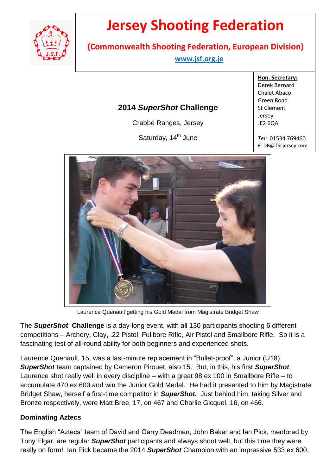

# **Jersey Shooting Federation**

**(Commonwealth Shooting Federation, European Division)**

 **www.jsf.org.je** 

## **2014** *SuperShot* **Challenge**

Crabbé Ranges, Jersey

Saturday, 14<sup>th</sup> June

**Hon. Secretary:** Derek Bernard Chalet Abaco Green Road St Clement Jersey JE2 6QA

Page **1** of **2**

*Tel:* 01534 769460 *E:* DB@TSLjersey.com



Laurence Quenault getting his Gold Medal from Magistrate Bridget Shaw

The *SuperShot* **Challenge** is a day-long event, with all 130 participants shooting 6 different competitions – Archery, Clay, .22 Pistol, Fullbore Rifle, Air Pistol and Smallbore Rifle. So it is a fascinating test of all-round ability for both beginners and experienced shots.

Laurence Quenault, 15, was a last-minute replacement in "Bullet-proof", a Junior (U18) *SuperShot* team captained by Cameron Pirouet, also 15. But, in this, his first *SuperShot*, Laurence shot really well in every discipline – with a great 98 ex 100 in Smallbore Rifle – to accumulate 470 ex 600 and win the Junior Gold Medal. He had it presented to him by Magistrate Bridget Shaw, herself a first-time competitor in *SuperShot.* Just behind him, taking Silver and Bronze respectively, were Matt Bree, 17, on 467 and Charlie Gicquel, 16, on 466.

### **Dominating Aztecs**

The English "Aztecs" team of David and Garry Deadman, John Baker and Ian Pick, mentored by Tony Elgar, are regular *SuperShot* participants and always shoot well, but this time they were really on form! Ian Pick became the 2014 *SuperShot* Champion with an impressive 533 ex 600,